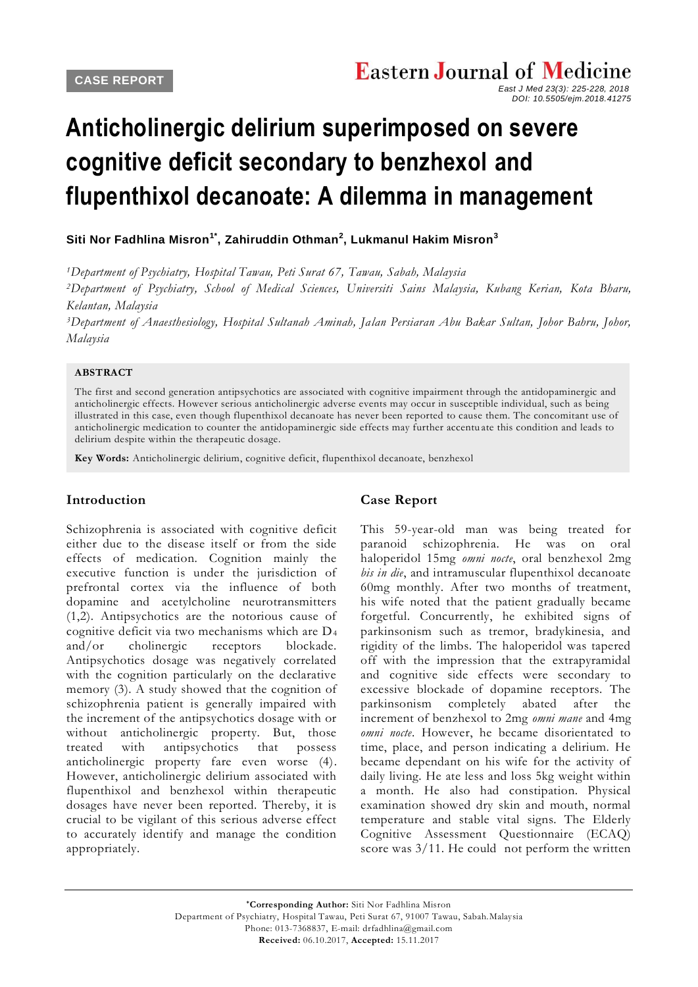# **Anticholinergic delirium superimposed on severe cognitive deficit secondary to benzhexol and flupenthixol decanoate: A dilemma in management**

## **[Siti Nor Fadhlina Misron](javascript:sa()1\* , [Zahiruddin Othman](javascript:sa()<sup>2</sup> , [Lukmanul Hakim Misron](javascript:sa()<sup>3</sup>**

*<sup>1</sup>Department of Psychiatry, Hospital Tawau, Peti Surat 67, Tawau, Sabah, Malaysia*

*<sup>2</sup>Department of Psychiatry, School of Medical Sciences, Universiti Sains Malaysia, Kubang Kerian, Kota Bharu, Kelantan, Malaysia*

*<sup>3</sup>Department of Anaesthesiology, Hospital Sultanah Aminah, Jalan Persiaran Abu Bakar Sultan, Johor Bahru, Johor, Malaysia*

#### **ABSTRACT**

The first and second generation antipsychotics are associated with cognitive impairment through the antidopaminergic and anticholinergic effects. However serious anticholinergic adverse events may occur in susceptible individual, such as being illustrated in this case, even though flupenthixol decanoate has never been reported to cause them. The concomitant use of anticholinergic medication to counter the antidopaminergic side effects may further accentu ate this condition and leads to delirium despite within the therapeutic dosage.

**Key Words:** Anticholinergic delirium, cognitive deficit, flupenthixol decanoate, benzhexol

### **Introduction**

Schizophrenia is associated with cognitive deficit either due to the disease itself or from the side effects of medication. Cognition mainly the executive function is under the jurisdiction of prefrontal cortex via the influence of both dopamine and acetylcholine neurotransmitters (1,2). Antipsychotics are the notorious cause of cognitive deficit via two mechanisms which are D<sup>4</sup> and/or cholinergic receptors blockade. Antipsychotics dosage was negatively correlated with the cognition particularly on the declarative memory (3). A study showed that the cognition of schizophrenia patient is generally impaired with the increment of the antipsychotics dosage with or without anticholinergic property. But, those treated with antipsychotics that possess anticholinergic property fare even worse (4). However, anticholinergic delirium associated with flupenthixol and benzhexol within therapeutic dosages have never been reported. Thereby, it is crucial to be vigilant of this serious adverse effect to accurately identify and manage the condition appropriately.

## **Case Report**

This 59-year-old man was being treated for paranoid schizophrenia. He was on oral haloperidol 15mg *omni nocte*, oral benzhexol 2mg *bis in die*, and intramuscular flupenthixol decanoate 60mg monthly. After two months of treatment, his wife noted that the patient gradually became forgetful. Concurrently, he exhibited signs of parkinsonism such as tremor, bradykinesia, and rigidity of the limbs. The haloperidol was tapered off with the impression that the extrapyramidal and cognitive side effects were secondary to excessive blockade of dopamine receptors. The parkinsonism completely abated after the increment of benzhexol to 2mg *omni mane* and 4mg *omni nocte*. However, he became disorientated to time, place, and person indicating a delirium. He became dependant on his wife for the activity of daily living. He ate less and loss 5kg weight within a month. He also had constipation. Physical examination showed dry skin and mouth, normal temperature and stable vital signs. The Elderly Cognitive Assessment Questionnaire (ECAQ) score was  $3/11$ . He could not perform the written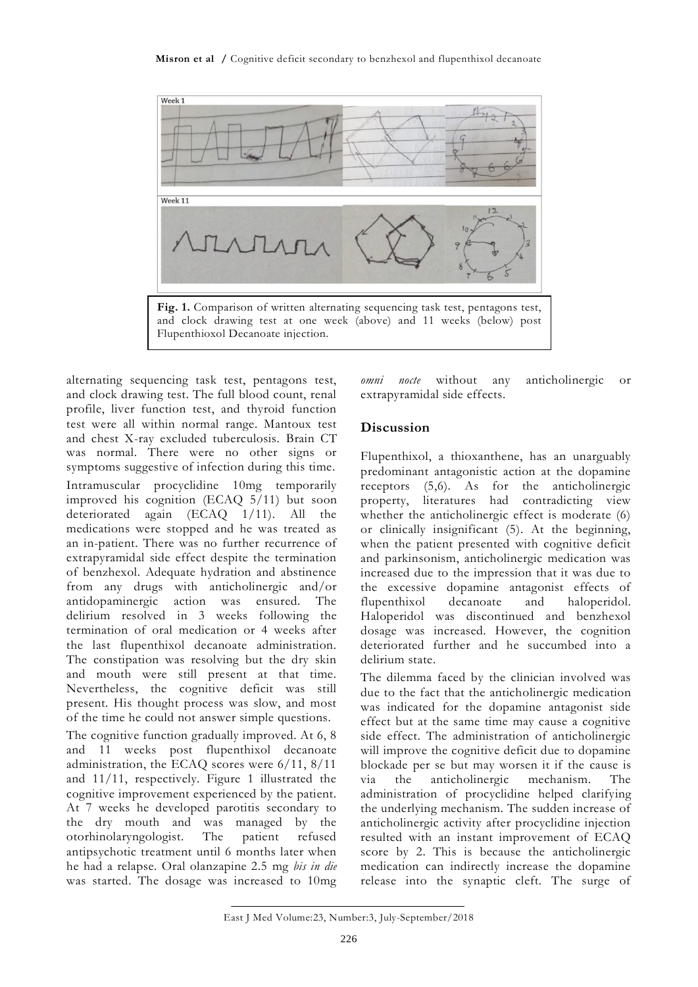

alternating sequencing task test, pentagons test, and clock drawing test. The full blood count, renal profile, liver function test, and thyroid function test were all within normal range. Mantoux test and chest X-ray excluded tuberculosis. Brain CT was normal. There were no other signs or symptoms suggestive of infection during this time. Intramuscular procyclidine 10mg temporarily improved his cognition (ECAQ 5/11) but soon deteriorated again (ECAQ 1/11). All the medications were stopped and he was treated as an in-patient. There was no further recurrence of extrapyramidal side effect despite the termination of benzhexol. Adequate hydration and abstinence from any drugs with anticholinergic and/or antidopaminergic action was ensured. The delirium resolved in 3 weeks following the termination of oral medication or 4 weeks after the last flupenthixol decanoate administration. The constipation was resolving but the dry skin and mouth were still present at that time. Nevertheless, the cognitive deficit was still present. His thought process was slow, and most of the time he could not answer simple questions.

The cognitive function gradually improved. At 6, 8 and 11 weeks post flupenthixol decanoate administration, the ECAQ scores were 6/11, 8/11 and 11/11, respectively. Figure 1 illustrated the cognitive improvement experienced by the patient. At 7 weeks he developed parotitis secondary to the dry mouth and was managed by the otorhinolaryngologist. The patient refused antipsychotic treatment until 6 months later when he had a relapse. Oral olanzapine 2.5 mg *bis in die* was started. The dosage was increased to 10mg

*omni nocte* without any anticholinergic or extrapyramidal side effects.

# **Discussion**

Flupenthixol, a thioxanthene, has an unarguably predominant antagonistic action at the dopamine receptors (5,6). As for the anticholinergic property, literatures had contradicting view whether the anticholinergic effect is moderate (6) or clinically insignificant (5). At the beginning, when the patient presented with cognitive deficit and parkinsonism, anticholinergic medication was increased due to the impression that it was due to the excessive dopamine antagonist effects of flupenthixol decanoate and haloperidol. Haloperidol was discontinued and benzhexol dosage was increased. However, the cognition deteriorated further and he succumbed into a delirium state.

The dilemma faced by the clinician involved was due to the fact that the anticholinergic medication was indicated for the dopamine antagonist side effect but at the same time may cause a cognitive side effect. The administration of anticholinergic will improve the cognitive deficit due to dopamine blockade per se but may worsen it if the cause is via the anticholinergic mechanism. The administration of procyclidine helped clarifying the underlying mechanism. The sudden increase of anticholinergic activity after procyclidine injection resulted with an instant improvement of ECAQ score by 2. This is because the anticholinergic medication can indirectly increase the dopamine release into the synaptic cleft. The surge of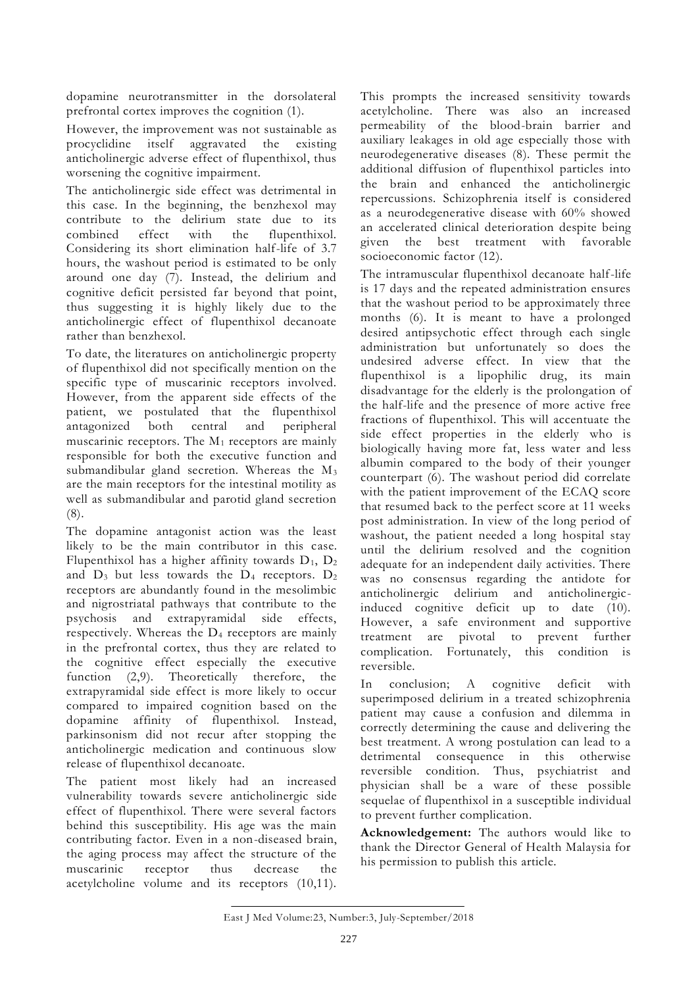dopamine neurotransmitter in the dorsolateral prefrontal cortex improves the cognition (1).

However, the improvement was not sustainable as procyclidine itself aggravated the existing anticholinergic adverse effect of flupenthixol, thus worsening the cognitive impairment.

The anticholinergic side effect was detrimental in this case. In the beginning, the benzhexol may contribute to the delirium state due to its combined effect with the flupenthixol. Considering its short elimination half-life of 3.7 hours, the washout period is estimated to be only around one day (7). Instead, the delirium and cognitive deficit persisted far beyond that point, thus suggesting it is highly likely due to the anticholinergic effect of flupenthixol decanoate rather than benzhexol.

To date, the literatures on anticholinergic property of flupenthixol did not specifically mention on the specific type of muscarinic receptors involved. However, from the apparent side effects of the patient, we postulated that the flupenthixol antagonized both central and peripheral muscarinic receptors. The M<sup>1</sup> receptors are mainly responsible for both the executive function and submandibular gland secretion. Whereas the M<sub>3</sub> are the main receptors for the intestinal motility as well as submandibular and parotid gland secretion (8).

The dopamine antagonist action was the least likely to be the main contributor in this case. Flupenthixol has a higher affinity towards  $D_1$ ,  $D_2$ and  $D_3$  but less towards the  $D_4$  receptors.  $D_2$ receptors are abundantly found in the mesolimbic and nigrostriatal pathways that contribute to the psychosis and extrapyramidal side effects, respectively. Whereas the  $D_4$  receptors are mainly in the prefrontal cortex, thus they are related to the cognitive effect especially the executive function (2,9). Theoretically therefore, the extrapyramidal side effect is more likely to occur compared to impaired cognition based on the dopamine affinity of flupenthixol. Instead, parkinsonism did not recur after stopping the anticholinergic medication and continuous slow release of flupenthixol decanoate.

The patient most likely had an increased vulnerability towards severe anticholinergic side effect of flupenthixol. There were several factors behind this susceptibility. His age was the main contributing factor. Even in a non-diseased brain, the aging process may affect the structure of the muscarinic receptor thus decrease the acetylcholine volume and its receptors (10,11).

This prompts the increased sensitivity towards acetylcholine. There was also an increased permeability of the blood-brain barrier and auxiliary leakages in old age especially those with neurodegenerative diseases (8). These permit the additional diffusion of flupenthixol particles into the brain and enhanced the anticholinergic repercussions. Schizophrenia itself is considered as a neurodegenerative disease with 60% showed an accelerated clinical deterioration despite being given the best treatment with favorable socioeconomic factor (12).

The intramuscular flupenthixol decanoate half-life is 17 days and the repeated administration ensures that the washout period to be approximately three months (6). It is meant to have a prolonged desired antipsychotic effect through each single administration but unfortunately so does the undesired adverse effect. In view that the flupenthixol is a lipophilic drug, its main disadvantage for the elderly is the prolongation of the half-life and the presence of more active free fractions of flupenthixol. This will accentuate the side effect properties in the elderly who is biologically having more fat, less water and less albumin compared to the body of their younger counterpart (6). The washout period did correlate with the patient improvement of the ECAQ score that resumed back to the perfect score at 11 weeks post administration. In view of the long period of washout, the patient needed a long hospital stay until the delirium resolved and the cognition adequate for an independent daily activities. There was no consensus regarding the antidote for anticholinergic delirium and anticholinergicinduced cognitive deficit up to date (10). However, a safe environment and supportive treatment are pivotal to prevent further complication. Fortunately, this condition is reversible.

conclusion; A cognitive deficit with superimposed delirium in a treated schizophrenia patient may cause a confusion and dilemma in correctly determining the cause and delivering the best treatment. A wrong postulation can lead to a detrimental consequence in this otherwise reversible condition. Thus, psychiatrist and physician shall be a ware of these possible sequelae of flupenthixol in a susceptible individual to prevent further complication.

**Acknowledgement:** The authors would like to thank the Director General of Health Malaysia for his permission to publish this article.